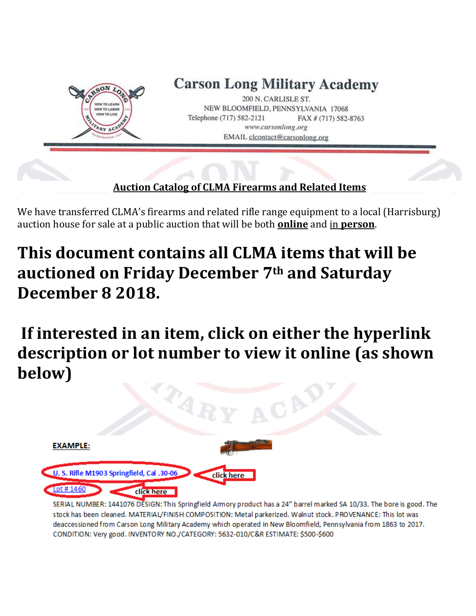

We have transferred CLMA's firearms and related rifle range equipment to a local (Harrisburg) auction house for sale at a public auction that will be both **online** and in **person**.

# **This document contains all CLMA items that will be auctioned on Friday December 7th and Saturday December 8 2018.**

**If interested in an item, click on either the hyperlink description or lot number to view it online (as shown below)**



SERIAL NUMBER: 1441076 DESIGN: This Springfield Armory product has a 24" barrel marked SA 10/33. The bore is good. The stock has been cleaned. MATERIAL/FINISH COMPOSITION: Metal parkerized. Walnut stock. PROVENANCE: This lot was deaccessioned from Carson Long Military Academy which operated in New Bloomfield, Pennsylvania from 1863 to 2017. CONDITION: Very good. INVENTORY NO./CATEGORY: 5632-010/C&R ESTIMATE: \$500-\$600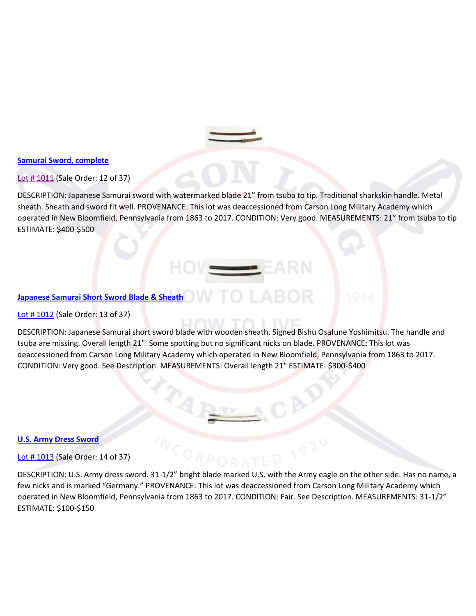

# **[Samurai Sword, complete](https://www.proxibid.com/aspr/Samurai-Sword-complete/45320554/LotDetail.asp?lid=45320554)**

# [Lot # 1011](https://www.proxibid.com/aspr/Samurai-Sword-complete/45320554/LotDetail.asp?lid=45320554) (Sale Order: 12 of 37)

DESCRIPTION: Japanese Samurai sword with watermarked blade 21" from tsuba to tip. Traditional sharkskin handle. Metal sheath. Sheath and sword fit well. PROVENANCE: This lot was deaccessioned from Carson Long Military Academy which operated in New Bloomfield, Pennsylvania from 1863 to 2017. CONDITION: Very good. MEASUREMENTS: 21" from tsuba to tip ESTIMATE: \$400-\$500

# **[Japanese Samurai Short Sword Blade & Sheath](https://www.proxibid.com/aspr/Japanese-Samurai-Short-Sword-Blade-Sheath/45320555/LotDetail.asp?lid=45320555)**

# [Lot # 1012](https://www.proxibid.com/aspr/Japanese-Samurai-Short-Sword-Blade-Sheath/45320555/LotDetail.asp?lid=45320555) (Sale Order: 13 of 37)

DESCRIPTION: Japanese Samurai short sword blade with wooden sheath. Signed Bishu Osafune Yoshimitsu. The handle and tsuba are missing. Overall length 21". Some spotting but no significant nicks on blade. PROVENANCE: This lot was deaccessioned from Carson Long Military Academy which operated in New Bloomfield, Pennsylvania from 1863 to 2017. CONDITION: Very good. See Description. MEASUREMENTS: Overall length 21" ESTIMATE: \$300-\$400

#### **[U.S. Army Dress Sword](https://www.proxibid.com/aspr/U-S-Army-Dress-Sword/45320556/LotDetail.asp?lid=45320556)**

# [Lot # 1013](https://www.proxibid.com/aspr/U-S-Army-Dress-Sword/45320556/LotDetail.asp?lid=45320556) (Sale Order: 14 of 37)

DESCRIPTION: U.S. Army dress sword. 31-1/2" bright blade marked U.S. with the Army eagle on the other side. Has no name, a few nicks and is marked "Germany." PROVENANCE: This lot was deaccessioned from Carson Long Military Academy which operated in New Bloomfield, Pennsylvania from 1863 to 2017. CONDITION: Fair. See Description. MEASUREMENTS: 31-1/2" ESTIMATE: \$100-\$150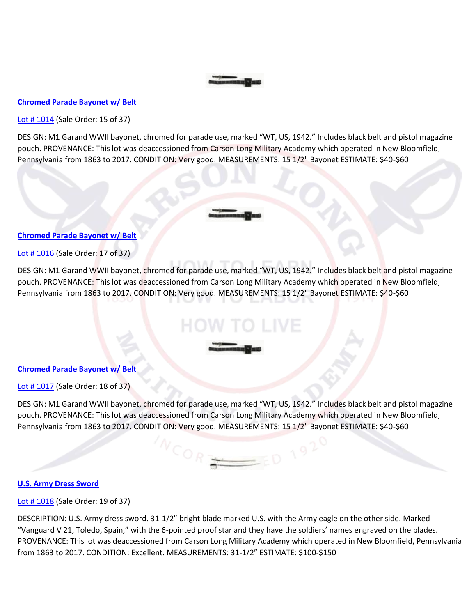#### **[Chromed Parade Bayonet w/ Belt](https://www.proxibid.com/aspr/Chromed-Parade-Bayonet-w-Belt/45320557/LotDetail.asp?lid=45320557)**

Lot #1014 (Sale Order: 15 of 37)

DESIGN: M1 Garand WWII bayonet, chromed for parade use, marked "WT, US, 1942." Includes black belt and pistol magazine pouch. PROVENANCE: This lot was deaccessioned from Carson Long Military Academy which operated in New Bloomfield, Pennsylvania from 1863 to 2017. CONDITION: Very good. MEASUREMENTS: 15 1/2" Bayonet ESTIMATE: \$40-\$60

#### **[Chromed Parade Bayonet w/ Belt](https://www.proxibid.com/aspr/Chromed-Parade-Bayonet-w-Belt/45320559/LotDetail.asp?lid=45320559)**

[Lot # 1016](https://www.proxibid.com/aspr/Chromed-Parade-Bayonet-w-Belt/45320559/LotDetail.asp?lid=45320559) (Sale Order: 17 of 37)

DESIGN: M1 Garand WWII bayonet, chromed for parade use, marked "WT, US, 1942." Includes black belt and pistol magazine pouch. PROVENANCE: This lot was deaccessioned from Carson Long Military Academy which operated in New Bloomfield, Pennsylvania from 1863 to 2017. CONDITION: Very good. MEASUREMENTS: 15 1/2" Bayonet ESTIMATE: \$40-\$60

#### **[Chromed Parade Bayonet w/ Belt](https://www.proxibid.com/aspr/Chromed-Parade-Bayonet-w-Belt/45320560/LotDetail.asp?lid=45320560)**

[Lot # 1017](https://www.proxibid.com/aspr/Chromed-Parade-Bayonet-w-Belt/45320560/LotDetail.asp?lid=45320560) (Sale Order: 18 of 37)

DESIGN: M1 Garand WWII bayonet, chromed for parade use, marked "WT, US, 1942." Includes black belt and pistol magazine pouch. PROVENANCE: This lot was deaccessioned from Carson Long Military Academy which operated in New Bloomfield, Pennsylvania from 1863 to 2017. CONDITION: Very good. MEASUREMENTS: 15 1/2" Bayonet ESTIMATE: \$40-\$60

 $^{\prime}$ COR $_{\frac{\infty}{2}}$ 

 $=$   $\epsilon$ D 1920

#### **[U.S. Army Dress Sword](https://www.proxibid.com/aspr/U-S-Army-Dress-Sword/45320561/LotDetail.asp?lid=45320561)**

[Lot # 1018](https://www.proxibid.com/aspr/U-S-Army-Dress-Sword/45320561/LotDetail.asp?lid=45320561) (Sale Order: 19 of 37)

DESCRIPTION: U.S. Army dress sword. 31-1/2" bright blade marked U.S. with the Army eagle on the other side. Marked "Vanguard V 21, Toledo, Spain," with the 6-pointed proof star and they have the soldiers' names engraved on the blades. PROVENANCE: This lot was deaccessioned from Carson Long Military Academy which operated in New Bloomfield, Pennsylvania from 1863 to 2017. CONDITION: Excellent. MEASUREMENTS: 31-1/2" ESTIMATE: \$100-\$150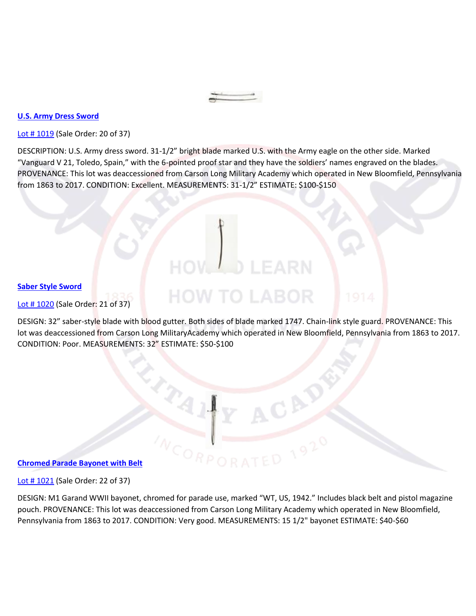#### **[U.S. Army Dress Sword](https://www.proxibid.com/aspr/U-S-Army-Dress-Sword/45320562/LotDetail.asp?lid=45320562)**

Lot #1019 (Sale Order: 20 of 37)

DESCRIPTION: U.S. Army dress sword. 31-1/2" bright blade marked U.S. with the Army eagle on the other side. Marked "Vanguard V 21, Toledo, Spain," with the 6-pointed proof star and they have the soldiers' names engraved on the blades. PROVENANCE: This lot was deaccessioned from Carson Long Military Academy which operated in New Bloomfield, Pennsylvania from 1863 to 2017. CONDITION: Excellent. MEASUREMENTS: 31-1/2" ESTIMATE: \$100-\$150

#### **[Saber Style Sword](https://www.proxibid.com/aspr/Saber-Style-Sword/45320563/LotDetail.asp?lid=45320563)**

Lot #1020 (Sale Order: 21 of 37)

DESIGN: 32" saber-style blade with blood gutter. Both sides of blade marked 1747. Chain-link style guard. PROVENANCE: This lot was deaccessioned from Carson Long MilitaryAcademy which operated in New Bloomfield, Pennsylvania from 1863 to 2017. CONDITION: Poor. MEASUREMENTS: 32" ESTIMATE: \$50-\$100

HOW TO LABOR

#### **[Chromed Parade Bayonet with Belt](https://www.proxibid.com/aspr/Chromed-Parade-Bayonet-with-Belt/45320564/LotDetail.asp?lid=45320564)**

[Lot # 1021](https://www.proxibid.com/aspr/Chromed-Parade-Bayonet-with-Belt/45320564/LotDetail.asp?lid=45320564) (Sale Order: 22 of 37)

DESIGN: M1 Garand WWII bayonet, chromed for parade use, marked "WT, US, 1942." Includes black belt and pistol magazine pouch. PROVENANCE: This lot was deaccessioned from Carson Long Military Academy which operated in New Bloomfield, Pennsylvania from 1863 to 2017. CONDITION: Very good. MEASUREMENTS: 15 1/2" bayonet ESTIMATE: \$40-\$60

 $C_{O_{RP}}$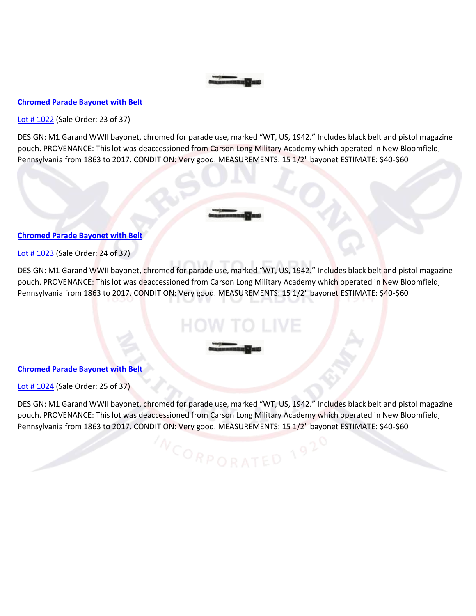# **[Chromed Parade Bayonet with Belt](https://www.proxibid.com/aspr/Chromed-Parade-Bayonet-with-Belt/45320565/LotDetail.asp?lid=45320565)**

[Lot # 1022](https://www.proxibid.com/aspr/Chromed-Parade-Bayonet-with-Belt/45320565/LotDetail.asp?lid=45320565) (Sale Order: 23 of 37)

DESIGN: M1 Garand WWII bayonet, chromed for parade use, marked "WT, US, 1942." Includes black belt and pistol magazine pouch. PROVENANCE: This lot was deaccessioned from Carson Long Military Academy which operated in New Bloomfield, Pennsylvania from 1863 to 2017. CONDITION: Very good. MEASUREMENTS: 15 1/2" bayonet ESTIMATE: \$40-\$60

#### **[Chromed Parade Bayonet with Belt](https://www.proxibid.com/aspr/Chromed-Parade-Bayonet-with-Belt/45320566/LotDetail.asp?lid=45320566)**

[Lot # 1023](https://www.proxibid.com/aspr/Chromed-Parade-Bayonet-with-Belt/45320566/LotDetail.asp?lid=45320566) (Sale Order: 24 of 37)

DESIGN: M1 Garand WWII bayonet, chromed for parade use, marked "WT, US, 1942." Includes black belt and pistol magazine pouch. PROVENANCE: This lot was deaccessioned from Carson Long Military Academy which operated in New Bloomfield, Pennsylvania from 1863 to 2017. CONDITION: Very good. MEASUREMENTS: 15 1/2" bayonet ESTIMATE: \$40-\$60

#### **[Chromed Parade Bayonet with Belt](https://www.proxibid.com/aspr/Chromed-Parade-Bayonet-with-Belt/45320567/LotDetail.asp?lid=45320567)**

[Lot # 1024](https://www.proxibid.com/aspr/Chromed-Parade-Bayonet-with-Belt/45320567/LotDetail.asp?lid=45320567) (Sale Order: 25 of 37)

DESIGN: M1 Garand WWII bayonet, chromed for parade use, marked "WT, US, 1942." Includes black belt and pistol magazine pouch. PROVENANCE: This lot was deaccessioned from Carson Long Military Academy which operated in New Bloomfield, Pennsylvania from 1863 to 2017. CONDITION: Very good. MEASUREMENTS: 15 1/2" bayonet ESTIMATE: \$40-\$60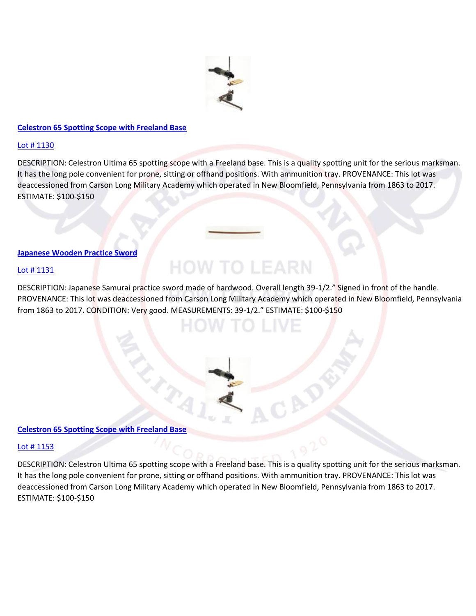

# **[Celestron 65 Spotting Scope with Freeland Base](https://www.proxibid.com/aspr/Celestron-65-Spotting-Scope-with-Freeland-Base/45320673/LotDetail.asp?lid=45320673)**

#### [Lot # 1130](https://www.proxibid.com/aspr/Celestron-65-Spotting-Scope-with-Freeland-Base/45320673/LotDetail.asp?lid=45320673)

DESCRIPTION: Celestron Ultima 65 spotting scope with a Freeland base. This is a quality spotting unit for the serious marksman. It has the long pole convenient for prone, sitting or offhand positions. With ammunition tray. PROVENANCE: This lot was deaccessioned from Carson Long Military Academy which operated in New Bloomfield, Pennsylvania from 1863 to 2017. ESTIMATE: \$100-\$150

#### **[Japanese Wooden Practice Sword](https://www.proxibid.com/aspr/Japanese-Wooden-Practice-Sword/45320674/LotDetail.asp?lid=45320674)**

#### [Lot # 1131](https://www.proxibid.com/aspr/Japanese-Wooden-Practice-Sword/45320674/LotDetail.asp?lid=45320674)

DESCRIPTION: Japanese Samurai practice sword made of hardwood. Overall length 39-1/2." Signed in front of the handle. PROVENANCE: This lot was deaccessioned from Carson Long Military Academy which operated in New Bloomfield, Pennsylvania from 1863 to 2017. CONDITION: Very good. MEASUREMENTS: 39-1/2." ESTIMATE: \$100-\$150

**HOW TO LEARN** 

#### **[Celestron 65 Spotting Scope with Freeland Base](https://www.proxibid.com/aspr/Celestron-65-Spotting-Scope-with-Freeland-Base/45320696/LotDetail.asp?lid=45320696)**

# [Lot # 1153](https://www.proxibid.com/aspr/Celestron-65-Spotting-Scope-with-Freeland-Base/45320696/LotDetail.asp?lid=45320696)

DESCRIPTION: Celestron Ultima 65 spotting scope with a Freeland base. This is a quality spotting unit for the serious marksman. It has the long pole convenient for prone, sitting or offhand positions. With ammunition tray. PROVENANCE: This lot was deaccessioned from Carson Long Military Academy which operated in New Bloomfield, Pennsylvania from 1863 to 2017. ESTIMATE: \$100-\$150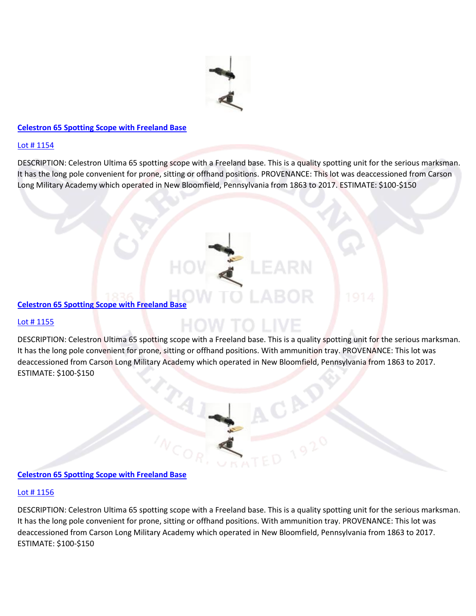

# **[Celestron 65 Spotting Scope with Freeland Base](https://www.proxibid.com/aspr/Celestron-65-Spotting-Scope-with-Freeland-Base/45320697/LotDetail.asp?lid=45320697)**

#### [Lot # 1154](https://www.proxibid.com/aspr/Celestron-65-Spotting-Scope-with-Freeland-Base/45320697/LotDetail.asp?lid=45320697)

DESCRIPTION: Celestron Ultima 65 spotting scope with a Freeland base. This is a quality spotting unit for the serious marksman. It has the long pole convenient for prone, sitting or offhand positions. PROVENANCE: This lot was deaccessioned from Carson Long Military Academy which operated in New Bloomfield, Pennsylvania from 1863 to 2017. ESTIMATE: \$100-\$150

#### **[Celestron 65 Spotting Scope with Freeland Base](https://www.proxibid.com/aspr/Celestron-65-Spotting-Scope-with-Freeland-Base/45320698/LotDetail.asp?lid=45320698)**

#### [Lot # 1155](https://www.proxibid.com/aspr/Celestron-65-Spotting-Scope-with-Freeland-Base/45320698/LotDetail.asp?lid=45320698)

DESCRIPTION: Celestron Ultima 65 spotting scope with a Freeland base. This is a quality spotting unit for the serious marksman. It has the long pole convenient for prone, sitting or offhand positions. With ammunition tray. PROVENANCE: This lot was deaccessioned from Carson Long Military Academy which operated in New Bloomfield, Pennsylvania from 1863 to 2017. ESTIMATE: \$100-\$150

#### **[Celestron 65 Spotting Scope with Freeland Base](https://www.proxibid.com/aspr/Celestron-65-Spotting-Scope-with-Freeland-Base/45320699/LotDetail.asp?lid=45320699)**

#### [Lot # 1156](https://www.proxibid.com/aspr/Celestron-65-Spotting-Scope-with-Freeland-Base/45320699/LotDetail.asp?lid=45320699)

DESCRIPTION: Celestron Ultima 65 spotting scope with a Freeland base. This is a quality spotting unit for the serious marksman. It has the long pole convenient for prone, sitting or offhand positions. With ammunition tray. PROVENANCE: This lot was deaccessioned from Carson Long Military Academy which operated in New Bloomfield, Pennsylvania from 1863 to 2017. ESTIMATE: \$100-\$15[0](https://www.proxibid.com/aspr/Celestron-100-Spotting-Scope-with-Walimex-Base/45320700/LotDetail.asp?lid=45320700)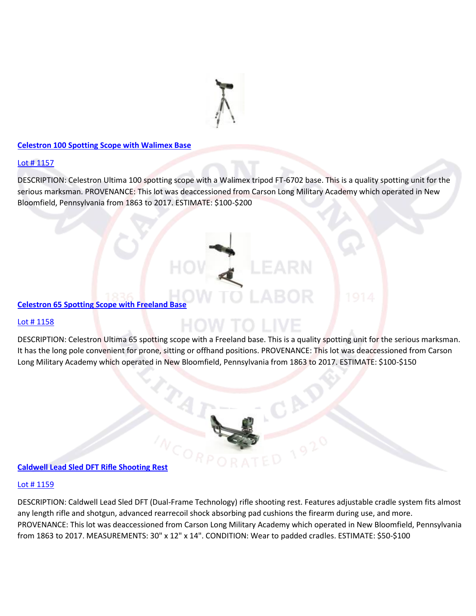

#### **[Celestron 100 Spotting Scope with Walimex Base](https://www.proxibid.com/aspr/Celestron-100-Spotting-Scope-with-Walimex-Base/45320700/LotDetail.asp?lid=45320700)**

# Lot #1157

DESCRIPTION: Celestron Ultima 100 spotting scope with a Walimex tripod FT-6702 base. This is a quality spotting unit for the serious marksman. PROVENANCE: This lot was deaccessioned from Carson Long Military Academy which operated in New Bloomfield, Pennsylvania from 1863 to 2017. ESTIMATE: \$100-\$200

# **[Celestron 65 Spotting Scope with Freeland Base](https://www.proxibid.com/aspr/Celestron-65-Spotting-Scope-with-Freeland-Base/45320701/LotDetail.asp?lid=45320701)**

#### [Lot # 1158](https://www.proxibid.com/aspr/Celestron-65-Spotting-Scope-with-Freeland-Base/45320701/LotDetail.asp?lid=45320701)

DESCRIPTION: Celestron Ultima 65 spotting scope with a Freeland base. This is a quality spotting unit for the serious marksman. It has the long pole convenient for prone, sitting or offhand positions. PROVENANCE: This lot was deaccessioned from Carson Long Military Academy which operated in New Bloomfield, Pennsylvania from 1863 to 2017. ESTIMATE: \$100-\$150



# **[Caldwell Lead Sled DFT Rifle Shooting Rest](https://www.proxibid.com/aspr/Caldwell-Lead-Sled-DFT-Rifle-Shooting-Rest/45320702/LotDetail.asp?lid=45320702)**

#### [Lot # 1159](https://www.proxibid.com/aspr/Caldwell-Lead-Sled-DFT-Rifle-Shooting-Rest/45320702/LotDetail.asp?lid=45320702)

DESCRIPTION: Caldwell Lead Sled DFT (Dual-Frame Technology) rifle shooting rest. Features adjustable cradle system fits almost any length rifle and shotgun, advanced rearrecoil shock absorbing pad cushions the firearm during use, and more. PROVENANCE: This lot was deaccessioned from Carson Long Military Academy which operated in New Bloomfield, Pennsylvania from 1863 to 2017. MEASUREMENTS: 30" x 12" x 14". CONDITION: Wear to padded cradles. ESTIMATE: \$50-\$100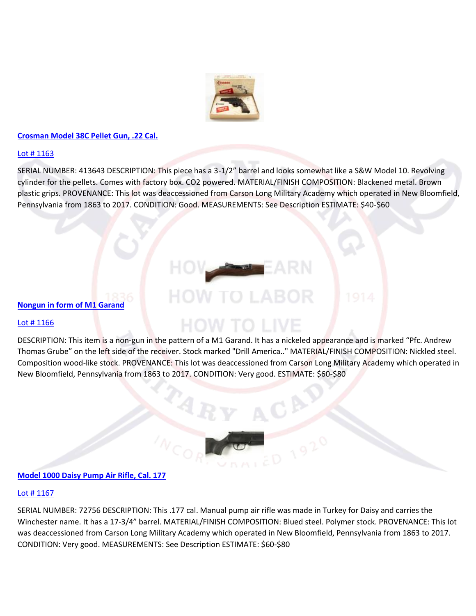

### **[Crosman Model 38C Pellet Gun, .22 Cal.](https://www.proxibid.com/aspr/Crosman-Model-38C-Pellet-Gun-22-Cal/45320706/LotDetail.asp?lid=45320706)**

# [Lot # 1163](https://www.proxibid.com/aspr/Crosman-Model-38C-Pellet-Gun-22-Cal/45320706/LotDetail.asp?lid=45320706)

SERIAL NUMBER: 413643 DESCRIPTION: This piece has a 3-1/2" barrel and looks somewhat like a S&W Model 10. Revolving cylinder for the pellets. Comes with factory box. CO2 powered. MATERIAL/FINISH COMPOSITION: Blackened metal. Brown plastic grips. PROVENANCE: This lot was deaccessioned from Carson Long Military Academy which operated in New Bloomfield, Pennsylvania from 1863 to 2017. CONDITION: Good. MEASUREMENTS: See Description ESTIMATE: \$40-\$60

# OW TO LABOR

# Lot #1166

**[Nongun in form of M1 Garand](https://www.proxibid.com/aspr/Nongun-in-form-of-M1-Garand/45320709/LotDetail.asp?lid=45320709)**

DESCRIPTION: This item is a non-gun in the pattern of a M1 Garand. It has a nickeled appearance and is marked "Pfc. Andrew Thomas Grube" on the left side of the receiver. Stock marked "Drill America.." MATERIAL/FINISH COMPOSITION: Nickled steel. Composition wood-like stock. PROVENANCE: This lot was deaccessioned from Carson Long Military Academy which operated in New Bloomfield, Pennsylvania from 1863 to 2017. CONDITION: Very good. ESTIMATE: \$60-\$80

HOW TO LIVE



# **[Model 1000 Daisy Pump Air Rifle, Cal. 177](https://www.proxibid.com/aspr/Model-1000-Daisy-Pump-Air-Rifle-Cal-177/45320710/LotDetail.asp?lid=45320710)**

#### Lot #1167

SERIAL NUMBER: 72756 DESCRIPTION: This .177 cal. Manual pump air rifle was made in Turkey for Daisy and carries the Winchester name. It has a 17-3/4" barrel. MATERIAL/FINISH COMPOSITION: Blued steel. Polymer stock. PROVENANCE: This lot was deaccessioned from Carson Long Military Academy which operated in New Bloomfield, Pennsylvania from 1863 to 2017. CONDITION: Very good. MEASUREMENTS: See Description ESTIMATE: \$60-\$8[0](https://www.proxibid.com/aspr/Shooting-Hunting-Bench/45320713/LotDetail.asp?lid=45320713)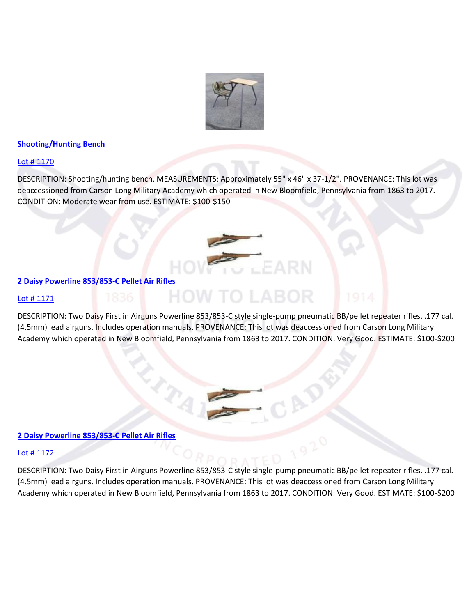

# **[Shooting/Hunting Bench](https://www.proxibid.com/aspr/Shooting-Hunting-Bench/45320713/LotDetail.asp?lid=45320713)**

# [Lot # 1170](https://www.proxibid.com/aspr/Shooting-Hunting-Bench/45320713/LotDetail.asp?lid=45320713)

DESCRIPTION: Shooting/hunting bench. MEASUREMENTS: Approximately 55" x 46" x 37-1/2". PROVENANCE: This lot was deaccessioned from Carson Long Military Academy which operated in New Bloomfield, Pennsylvania from 1863 to 2017. CONDITION: Moderate wear from use. ESTIMATE: \$100-\$150

#### **[2 Daisy Powerline 853/853-C Pellet Air Rifles](https://www.proxibid.com/aspr/2-Daisy-Powerline-853-853-C-Pellet-Air-Rifles/45320714/LotDetail.asp?lid=45320714)**

#### Lot #1171

DESCRIPTION: Two Daisy First in Airguns Powerline 853/853-C style single-pump pneumatic BB/pellet repeater rifles. .177 cal. (4.5mm) lead airguns. Includes operation manuals. PROVENANCE: This lot was deaccessioned from Carson Long Military Academy which operated in New Bloomfield, Pennsylvania from 1863 to 2017. CONDITION: Very Good. ESTIMATE: \$100-\$200

**HOW TO LABOR** 

#### **[2 Daisy Powerline 853/853-C Pellet Air Rifles](https://www.proxibid.com/aspr/2-Daisy-Powerline-853-853-C-Pellet-Air-Rifles/45320715/LotDetail.asp?lid=45320715)**

#### [Lot # 1172](https://www.proxibid.com/aspr/2-Daisy-Powerline-853-853-C-Pellet-Air-Rifles/45320715/LotDetail.asp?lid=45320715)

DESCRIPTION: Two Daisy First in Airguns Powerline 853/853-C style single-pump pneumatic BB/pellet repeater rifles. .177 cal. (4.5mm) lead airguns. Includes operation manuals. PROVENANCE: This lot was deaccessioned from Carson Long Military Academy which operated in New Bloomfield, Pennsylvania from 1863 to 2017. CONDITION: Very Good. ESTIMATE: \$100-\$200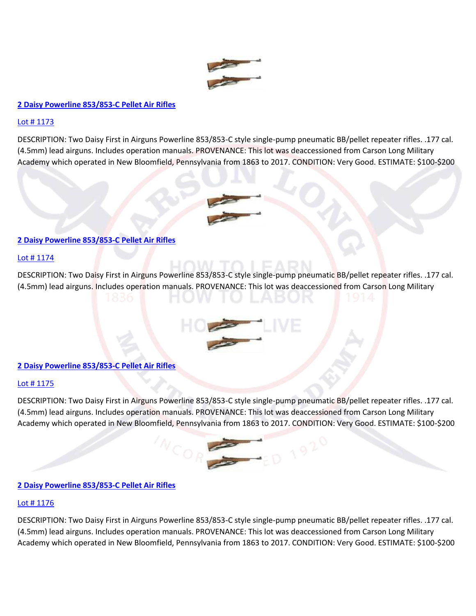

# **[2 Daisy Powerline 853/853-C Pellet Air Rifles](https://www.proxibid.com/aspr/2-Daisy-Powerline-853-853-C-Pellet-Air-Rifles/45320716/LotDetail.asp?lid=45320716)**

### [Lot # 1173](https://www.proxibid.com/aspr/2-Daisy-Powerline-853-853-C-Pellet-Air-Rifles/45320716/LotDetail.asp?lid=45320716)

DESCRIPTION: Two Daisy First in Airguns Powerline 853/853-C style single-pump pneumatic BB/pellet repeater rifles. .177 cal. (4.5mm) lead airguns. Includes operation manuals. PROVENANCE: This lot was deaccessioned from Carson Long Military Academy which operated in New Bloomfield, Pennsylvania from 1863 to 2017. CONDITION: Very Good. ESTIMATE: \$100-\$200



#### [Lot # 1174](https://www.proxibid.com/aspr/2-Daisy-Powerline-853-853-C-Pellet-Air-Rifles/45320717/LotDetail.asp?lid=45320717)

DESCRIPTION: Two Daisy First in Airguns Powerline 853/853-C style single-pump pneumatic BB/pellet repeater rifles. .177 cal. (4.5mm) lead airguns. Includes operation manuals. PROVENANCE: This lot was deaccessioned from Carson Long Military



# **[2 Daisy Powerline 853/853-C Pellet Air Rifles](https://www.proxibid.com/aspr/2-Daisy-Powerline-853-853-C-Pellet-Air-Rifles/45320718/LotDetail.asp?lid=45320718)**

# Lot #1175

DESCRIPTION: Two Daisy First in Airguns Powerline 853/853-C style single-pump pneumatic BB/pellet repeater rifles. .177 cal. (4.5mm) lead airguns. Includes operation manuals. PROVENANCE: This lot was deaccessioned from Carson Long Military Academy which operated in New Bloomfield, Pennsylvania from 1863 to 2017. CONDITION: Very Good. ESTIMATE: \$100-\$200



# **[2 Daisy Powerline 853/853-C Pellet Air Rifles](https://www.proxibid.com/aspr/2-Daisy-Powerline-853-853-C-Pellet-Air-Rifles/45320719/LotDetail.asp?lid=45320719)**

#### [Lot # 1176](https://www.proxibid.com/aspr/2-Daisy-Powerline-853-853-C-Pellet-Air-Rifles/45320719/LotDetail.asp?lid=45320719)

DESCRIPTION: Two Daisy First in Airguns Powerline 853/853-C style single-pump pneumatic BB/pellet repeater rifles. .177 cal. (4.5mm) lead airguns. Includes operation manuals. PROVENANCE: This lot was deaccessioned from Carson Long Military Academy which operated in New Bloomfield, Pennsylvania from 1863 to 2017. CONDITION: Very Good. ESTIMATE: \$100-\$20[0](https://www.proxibid.com/aspr/2-Pellet-Repeater-Air-Rifles/45320720/LotDetail.asp?lid=45320720)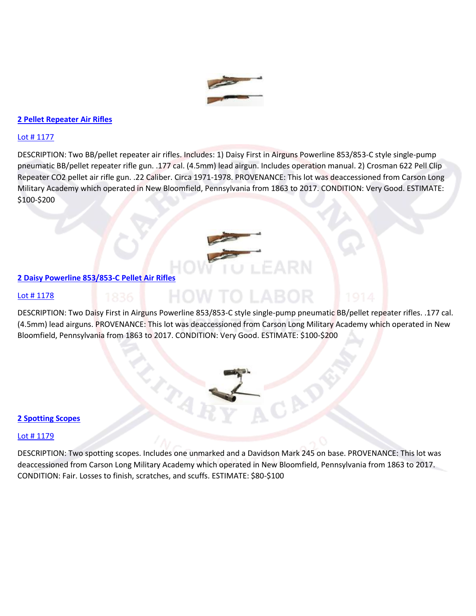

# **[2 Pellet Repeater Air Rifles](https://www.proxibid.com/aspr/2-Pellet-Repeater-Air-Rifles/45320720/LotDetail.asp?lid=45320720)**

#### [Lot # 1177](https://www.proxibid.com/aspr/2-Pellet-Repeater-Air-Rifles/45320720/LotDetail.asp?lid=45320720)

DESCRIPTION: Two BB/pellet repeater air rifles. Includes: 1) Daisy First in Airguns Powerline 853/853-C style single-pump pneumatic BB/pellet repeater rifle gun. .177 cal. (4.5mm) lead airgun. Includes operation manual. 2) Crosman 622 Pell Clip Repeater CO2 pellet air rifle gun. .22 Caliber. Circa 1971-1978. PROVENANCE: This lot was deaccessioned from Carson Long Military Academy which operated in New Bloomfield, Pennsylvania from 1863 to 2017. CONDITION: Very Good. ESTIMATE: \$100-\$200



#### **[2 Daisy Powerline 853/853-C Pellet Air Rifles](https://www.proxibid.com/aspr/2-Daisy-Powerline-853-853-C-Pellet-Air-Rifles/45320721/LotDetail.asp?lid=45320721)**

#### [Lot # 1178](https://www.proxibid.com/aspr/2-Daisy-Powerline-853-853-C-Pellet-Air-Rifles/45320721/LotDetail.asp?lid=45320721)

DESCRIPTION: Two Daisy First in Airguns Powerline 853/853-C style single-pump pneumatic BB/pellet repeater rifles. .177 cal. (4.5mm) lead airguns. PROVENANCE: This lot was deaccessioned from Carson Long Military Academy which operated in New Bloomfield, Pennsylvania from 1863 to 2017. CONDITION: Very Good. ESTIMATE: \$100-\$200

HOW TO LA

 $\zeta_{\chi_j}$ 

#### **[2 Spotting Scopes](https://www.proxibid.com/aspr/2-Spotting-Scopes/45320722/LotDetail.asp?lid=45320722)**

# Lot #1179

DESCRIPTION: Two spotting scopes. Includes one unmarked and a Davidson Mark 245 on base. PROVENANCE: This lot was deaccessioned from Carson Long Military Academy which operated in New Bloomfield, Pennsylvania from 1863 to 2017. CONDITION: Fair. Losses to finish, scratches, and scuffs. ESTIMATE: \$80-\$100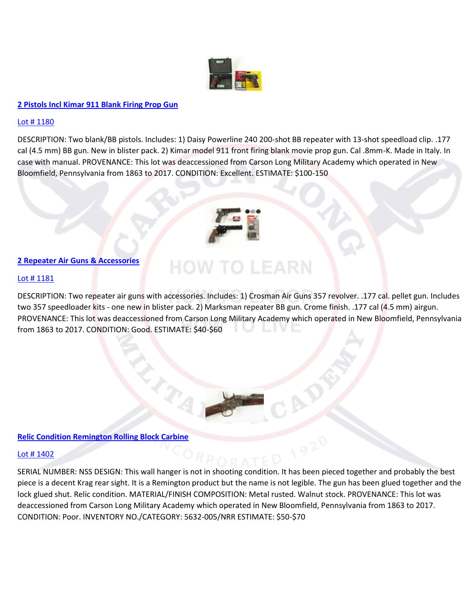

# **[2 Pistols Incl Kimar 911 Blank Firing Prop Gun](https://www.proxibid.com/aspr/2-Pistols-Incl-Kimar-911-Blank-Firing-Prop-Gun/45320723/LotDetail.asp?lid=45320723)**

#### [Lot # 1180](https://www.proxibid.com/aspr/2-Pistols-Incl-Kimar-911-Blank-Firing-Prop-Gun/45320723/LotDetail.asp?lid=45320723)

DESCRIPTION: Two blank/BB pistols. Includes: 1) Daisy Powerline 240 200-shot BB repeater with 13-shot speedload clip. .177 cal (4.5 mm) BB gun. New in blister pack. 2) Kimar model 911 front firing blank movie prop gun. Cal .8mm-K. Made in Italy. In case with manual. PROVENANCE: This lot was deaccessioned from Carson Long Military Academy which operated in New Bloomfield, Pennsylvania from 1863 to 2017. CONDITION: Excellent. ESTIMATE: \$100-150



# **[2 Repeater Air Guns & Accessories](https://www.proxibid.com/aspr/2-Repeater-Air-Guns-Accessories/45320724/LotDetail.asp?lid=45320724)**

#### Lot #1181

DESCRIPTION: Two repeater air guns with accessories. Includes: 1) Crosman Air Guns 357 revolver. .177 cal. pellet gun. Includes two 357 speedloader kits - one new in blister pack. 2) Marksman repeater BB gun. Crome finish. .177 cal (4.5 mm) airgun. PROVENANCE: This lot was deaccessioned from Carson Long Military Academy which operated in New Bloomfield, Pennsylvania from 1863 to 2017. CONDITION: Good. ESTIMATE: \$40-\$60

**HOW TO LEARN** 



# **[Relic Condition Remington Rolling Block Carbine](https://www.proxibid.com/aspr/Relic-Condition-Remington-Rolling-Block-Carbine/45324027/LotDetail.asp?lid=45324027)**

#### [Lot # 1402](https://www.proxibid.com/aspr/Relic-Condition-Remington-Rolling-Block-Carbine/45324027/LotDetail.asp?lid=45324027)

SERIAL NUMBER: NSS DESIGN: This wall hanger is not in shooting condition. It has been pieced together and probably the best piece is a decent Krag rear sight. It is a Remington product but the name is not legible. The gun has been glued together and the lock glued shut. Relic condition. MATERIAL/FINISH COMPOSITION: Metal rusted. Walnut stock. PROVENANCE: This lot was deaccessioned from Carson Long Military Academy which operated in New Bloomfield, Pennsylvania from 1863 to 2017. CONDITION: Poor. INVENTORY NO./CATEGORY: 5632-005/NRR ESTIMATE: \$50-\$70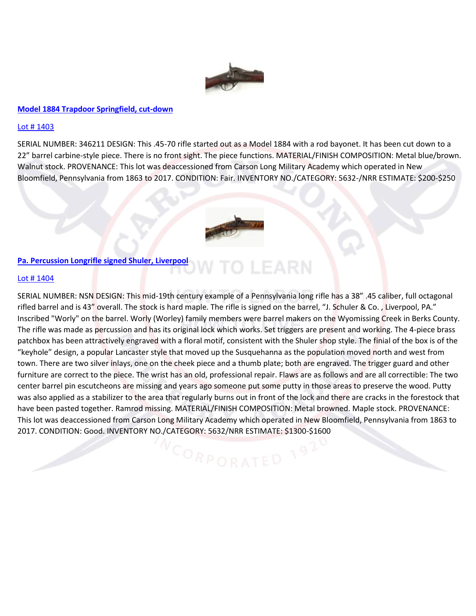

#### **[Model 1884 Trapdoor Springfield, cut-down](https://www.proxibid.com/aspr/Model-1884-Trapdoor-Springfield-cut-down/45324028/LotDetail.asp?lid=45324028)**

#### [Lot # 1403](https://www.proxibid.com/aspr/Model-1884-Trapdoor-Springfield-cut-down/45324028/LotDetail.asp?lid=45324028)

SERIAL NUMBER: 346211 DESIGN: This .45-70 rifle started out as a Model 1884 with a rod bayonet. It has been cut down to a 22" barrel carbine-style piece. There is no front sight. The piece functions. MATERIAL/FINISH COMPOSITION: Metal blue/brown. Walnut stock. PROVENANCE: This lot was deaccessioned from Carson Long Military Academy which operated in New Bloomfield, Pennsylvania from 1863 to 2017. CONDITION: Fair. INVENTORY NO./CATEGORY: 5632-/NRR ESTIMATE: \$200-\$250



LEARN

# **[Pa. Percussion Longrifle signed Shuler, Liverpool](https://www.proxibid.com/aspr/Pa-Percussion-Longrifle-signed-Shuler-Liverpool/45324029/LotDetail.asp?lid=45324029)**

#### [Lot # 1404](https://www.proxibid.com/aspr/Pa-Percussion-Longrifle-signed-Shuler-Liverpool/45324029/LotDetail.asp?lid=45324029)

SERIAL NUMBER: NSN DESIGN: This mid-19th century example of a Pennsylvania long rifle has a 38" .45 caliber, full octagonal rifled barrel and is 43" overall. The stock is hard maple. The rifle is signed on the barrel, "J. Schuler & Co. , Liverpool, PA." Inscribed "Worly" on the barrel. Worly (Worley) family members were barrel makers on the Wyomissing Creek in Berks County. The rifle was made as percussion and has its original lock which works. Set triggers are present and working. The 4-piece brass patchbox has been attractively engraved with a floral motif, consistent with the Shuler shop style. The finial of the box is of the "keyhole" design, a popular Lancaster style that moved up the Susquehanna as the population moved north and west from town. There are two silver inlays, one on the cheek piece and a thumb plate; both are engraved. The trigger guard and other furniture are correct to the piece. The wrist has an old, professional repair. Flaws are as follows and are all correctible: The two center barrel pin escutcheons are missing and years ago someone put some putty in those areas to preserve the wood. Putty was also applied as a stabilizer to the area that regularly burns out in front of the lock and there are cracks in the forestock that have been pasted together. Ramrod missing. MATERIAL/FINISH COMPOSITION: Metal browned. Maple stock. PROVENANCE: This lot was deaccessioned from Carson Long Military Academy which operated in New Bloomfield, Pennsylvania from 1863 to 2017. CONDITION: Good. INVENTORY NO./CATEGORY: 5632/NRR ESTIMATE: \$1300-\$1600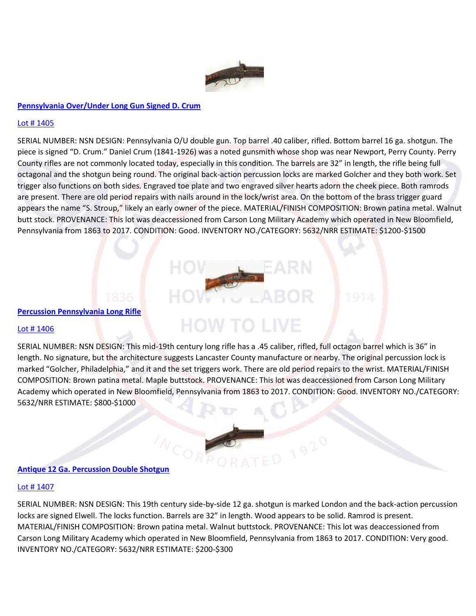

# **[Pennsylvania Over/Under Long Gun Signed D. Crum](https://www.proxibid.com/aspr/Pennsylvania-Over-Under-Long-Gun-Signed-D-Crum/45324030/LotDetail.asp?lid=45324030)**

### [Lot # 1405](https://www.proxibid.com/aspr/Pennsylvania-Over-Under-Long-Gun-Signed-D-Crum/45324030/LotDetail.asp?lid=45324030)

SERIAL NUMBER: NSN DESIGN: Pennsylvania O/U double gun. Top barrel .40 caliber, rifled. Bottom barrel 16 ga. shotgun. The piece is signed "D. Crum." Daniel Crum (1841-1926) was a noted gunsmith whose shop was near Newport, Perry County. Perry County rifles are not commonly located today, especially in this condition. The barrels are 32" in length, the rifle being full octagonal and the shotgun being round. The original back-action percussion locks are marked Golcher and they both work. Set trigger also functions on both sides. Engraved toe plate and two engraved silver hearts adorn the cheek piece. Both ramrods are present. There are old period repairs with nails around in the lock/wrist area. On the bottom of the brass trigger guard appears the name "S. Stroup," likely an early owner of the piece. MATERIAL/FINISH COMPOSITION: Brown patina metal. Walnut butt stock. PROVENANCE: This lot was deaccessioned from Carson Long Military Academy which operated in New Bloomfield, Pennsylvania from 1863 to 2017. CONDITION: Good. INVENTORY NO./CATEGORY: 5632/NRR ESTIMATE: \$1200-\$1500

# **[Percussion Pennsylvania Long Rifle](https://www.proxibid.com/aspr/Percussion-Pennsylvania-Long-Rifle/45324031/LotDetail.asp?lid=45324031)**

#### Lot #1406

SERIAL NUMBER: NSN DESIGN: This mid-19th century long rifle has a .45 caliber, rifled, full octagon barrel which is 36" in length. No signature, but the architecture suggests Lancaster County manufacture or nearby. The original percussion lock is marked "Golcher, Philadelphia," and it and the set triggers work. There are old period repairs to the wrist. MATERIAL/FINISH COMPOSITION: Brown patina metal. Maple buttstock. PROVENANCE: This lot was deaccessioned from Carson Long Military Academy which operated in New Bloomfield, Pennsylvania from 1863 to 2017. CONDITION: Good. INVENTORY NO./CATEGORY: 5632/NRR ESTIMATE: \$800-\$1000

**HOW TO LIVE** 

# **[Antique 12 Ga. Percussion Double Shotgun](https://www.proxibid.com/aspr/Antique-12-Ga-Percussion-Double-Shotgun/45324032/LotDetail.asp?lid=45324032)**

#### [Lot # 1407](https://www.proxibid.com/aspr/Antique-12-Ga-Percussion-Double-Shotgun/45324032/LotDetail.asp?lid=45324032)

SERIAL NUMBER: NSN DESIGN: This 19th century side-by-side 12 ga. shotgun is marked London and the back-action percussion locks are signed Elwell. The locks function. Barrels are 32" in length. Wood appears to be solid. Ramrod is present. MATERIAL/FINISH COMPOSITION: Brown patina metal. Walnut buttstock. PROVENANCE: This lot was deaccessioned from Carson Long Military Academy which operated in New Bloomfield, Pennsylvania from 1863 to 2017. CONDITION: Very good. INVENTORY NO./CATEGORY: 5632/NRR ESTIMATE: \$200-\$30[0](https://www.proxibid.com/aspr/12-Ga-Damascus-Double-Shotgun-Manhattan-Arms-Co/45324033/LotDetail.asp?lid=45324033)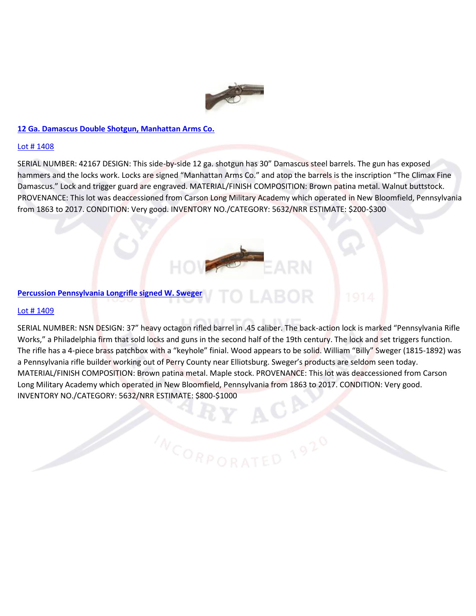

#### **[12 Ga. Damascus Double Shotgun, Manhattan Arms Co.](https://www.proxibid.com/aspr/12-Ga-Damascus-Double-Shotgun-Manhattan-Arms-Co/45324033/LotDetail.asp?lid=45324033)**

#### [Lot # 1408](https://www.proxibid.com/aspr/12-Ga-Damascus-Double-Shotgun-Manhattan-Arms-Co/45324033/LotDetail.asp?lid=45324033)

SERIAL NUMBER: 42167 DESIGN: This side-by-side 12 ga. shotgun has 30" Damascus steel barrels. The gun has exposed hammers and the locks work. Locks are signed "Manhattan Arms Co." and atop the barrels is the inscription "The Climax Fine Damascus." Lock and trigger guard are engraved. MATERIAL/FINISH COMPOSITION: Brown patina metal. Walnut buttstock. PROVENANCE: This lot was deaccessioned from Carson Long Military Academy which operated in New Bloomfield, Pennsylvania from 1863 to 2017. CONDITION: Very good. INVENTORY NO./CATEGORY: 5632/NRR ESTIMATE: \$200-\$300



#### **[Percussion Pennsylvania Longrifle signed W. Sweger](https://www.proxibid.com/aspr/Percussion-Pennsylvania-Longrifle-signed-W-Sweger/45324034/LotDetail.asp?lid=45324034)**

#### [Lot # 1409](https://www.proxibid.com/aspr/Percussion-Pennsylvania-Longrifle-signed-W-Sweger/45324034/LotDetail.asp?lid=45324034)

SERIAL NUMBER: NSN DESIGN: 37" heavy octagon rifled barrel in .45 caliber. The back-action lock is marked "Pennsylvania Rifle Works," a Philadelphia firm that sold locks and guns in the second half of the 19th century. The lock and set triggers function. The rifle has a 4-piece brass patchbox with a "keyhole" finial. Wood appears to be solid. William "Billy" Sweger (1815-1892) was a Pennsylvania rifle builder working out of Perry County near Elliotsburg. Sweger's products are seldom seen today. MATERIAL/FINISH COMPOSITION: Brown patina metal. Maple stock. PROVENANCE: This lot was deaccessioned from Carson Long Military Academy which operated in New Bloomfield, Pennsylvania from 1863 to 2017. CONDITION: Very good. INVENTORY NO./CATEGORY: 5632/NRR ESTIMATE: \$800-\$1000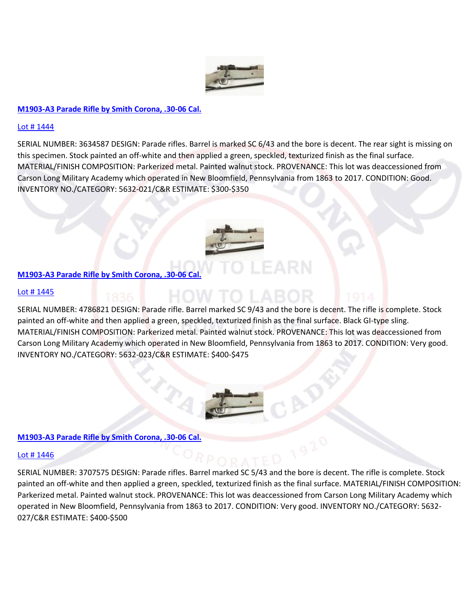

# **[M1903-A3 Parade Rifle by Smith Corona, .30-06 Cal.](https://www.proxibid.com/aspr/M1903-A3-Parade-Rifle-by-Smith-Corona-30-06-Cal/45324069/LotDetail.asp?lid=45324069)**

### [Lot # 1444](https://www.proxibid.com/aspr/M1903-A3-Parade-Rifle-by-Smith-Corona-30-06-Cal/45324069/LotDetail.asp?lid=45324069)

SERIAL NUMBER: 3634587 DESIGN: Parade rifles. Barrel is marked SC 6/43 and the bore is decent. The rear sight is missing on this specimen. Stock painted an off-white and then applied a green, speckled, texturized finish as the final surface. MATERIAL/FINISH COMPOSITION: Parkerized metal. Painted walnut stock. PROVENANCE: This lot was deaccessioned from Carson Long Military Academy which operated in New Bloomfield, Pennsylvania from 1863 to 2017. CONDITION: Good. INVENTORY NO./CATEGORY: 5632-021/C&R ESTIMATE: \$300-\$35[0](https://www.proxibid.com/aspr/M1903-A3-Parade-Rifle-by-Smith-Corona-30-06-Cal/45324070/LotDetail.asp?lid=45324070)



# **[M1903-A3 Parade Rifle by Smith Corona, .30-06 Cal.](https://www.proxibid.com/aspr/M1903-A3-Parade-Rifle-by-Smith-Corona-30-06-Cal/45324070/LotDetail.asp?lid=45324070)**

#### [Lot # 1445](https://www.proxibid.com/aspr/M1903-A3-Parade-Rifle-by-Smith-Corona-30-06-Cal/45324070/LotDetail.asp?lid=45324070)

SERIAL NUMBER: 4786821 DESIGN: Parade rifle. Barrel marked SC 9/43 and the bore is decent. The rifle is complete. Stock painted an off-white and then applied a green, speckled, texturized finish as the final surface. Black GI-type sling. MATERIAL/FINISH COMPOSITION: Parkerized metal. Painted walnut stock. PROVENANCE: This lot was deaccessioned from Carson Long Military Academy which operated in New Bloomfield, Pennsylvania from 1863 to 2017. CONDITION: Very good. INVENTORY NO./CATEGORY: 5632-023/C&R ESTIMATE: \$400-\$47[5](https://www.proxibid.com/aspr/M1903-A3-Parade-Rifle-by-Smith-Corona-30-06-Cal/45324071/LotDetail.asp?lid=45324071)



# **[M1903-A3 Parade Rifle by Smith Corona, .30-06 Cal.](https://www.proxibid.com/aspr/M1903-A3-Parade-Rifle-by-Smith-Corona-30-06-Cal/45324071/LotDetail.asp?lid=45324071)**

#### [Lot # 1446](https://www.proxibid.com/aspr/M1903-A3-Parade-Rifle-by-Smith-Corona-30-06-Cal/45324071/LotDetail.asp?lid=45324071)

SERIAL NUMBER: 3707575 DESIGN: Parade rifles. Barrel marked SC 5/43 and the bore is decent. The rifle is complete. Stock painted an off-white and then applied a green, speckled, texturized finish as the final surface. MATERIAL/FINISH COMPOSITION: Parkerized metal. Painted walnut stock. PROVENANCE: This lot was deaccessioned from Carson Long Military Academy which operated in New Bloomfield, Pennsylvania from 1863 to 2017. CONDITION: Very good. INVENTORY NO./CATEGORY: 5632- 027/C&R ESTIMATE: \$400-\$50[0](https://www.proxibid.com/aspr/M1903-A3-Parade-Rifle-by-Smith-Corona/45324072/LotDetail.asp?lid=45324072)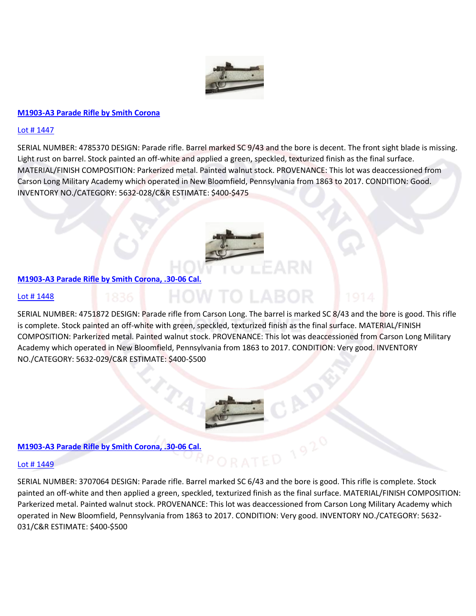

### **[M1903-A3 Parade Rifle by Smith Corona](https://www.proxibid.com/aspr/M1903-A3-Parade-Rifle-by-Smith-Corona/45324072/LotDetail.asp?lid=45324072)**

# [Lot # 1447](https://www.proxibid.com/aspr/M1903-A3-Parade-Rifle-by-Smith-Corona/45324072/LotDetail.asp?lid=45324072)

SERIAL NUMBER: 4785370 DESIGN: Parade rifle. Barrel marked SC 9/43 and the bore is decent. The front sight blade is missing. Light rust on barrel. Stock painted an off-white and applied a green, speckled, texturized finish as the final surface. MATERIAL/FINISH COMPOSITION: Parkerized metal. Painted walnut stock. PROVENANCE: This lot was deaccessioned from Carson Long Military Academy which operated in New Bloomfield, Pennsylvania from 1863 to 2017. CONDITION: Good. INVENTORY NO./CATEGORY: 5632-028/C&R ESTIMATE: \$400-\$47[5](https://www.proxibid.com/aspr/M1903-A3-Parade-Rifle-by-Smith-Corona-30-06-Cal/45324073/LotDetail.asp?lid=45324073)



# **[M1903-A3 Parade Rifle by Smith Corona, .30-06 Cal.](https://www.proxibid.com/aspr/M1903-A3-Parade-Rifle-by-Smith-Corona-30-06-Cal/45324073/LotDetail.asp?lid=45324073)**

#### [Lot # 1448](https://www.proxibid.com/aspr/M1903-A3-Parade-Rifle-by-Smith-Corona-30-06-Cal/45324073/LotDetail.asp?lid=45324073)

SERIAL NUMBER: 4751872 DESIGN: Parade rifle from Carson Long. The barrel is marked SC 8/43 and the bore is good. This rifle is complete. Stock painted an off-white with green, speckled, texturized finish as the final surface. MATERIAL/FINISH COMPOSITION: Parkerized metal. Painted walnut stock. PROVENANCE: This lot was deaccessioned from Carson Long Military Academy which operated in New Bloomfield, Pennsylvania from 1863 to 2017. CONDITION: Very good. INVENTORY NO./CATEGORY: 5632-029/C&R ESTIMATE: \$400-\$50[0](https://www.proxibid.com/aspr/M1903-A3-Parade-Rifle-by-Smith-Corona-30-06-Cal/45324074/LotDetail.asp?lid=45324074)

**HOW TO LABOR** 



# **[M1903-A3 Parade Rifle by Smith Corona, .30-06 Cal.](https://www.proxibid.com/aspr/M1903-A3-Parade-Rifle-by-Smith-Corona-30-06-Cal/45324074/LotDetail.asp?lid=45324074)**

# [Lot # 1449](https://www.proxibid.com/aspr/M1903-A3-Parade-Rifle-by-Smith-Corona-30-06-Cal/45324074/LotDetail.asp?lid=45324074)

SERIAL NUMBER: 3707064 DESIGN: Parade rifle. Barrel marked SC 6/43 and the bore is good. This rifle is complete. Stock painted an off-white and then applied a green, speckled, texturized finish as the final surface. MATERIAL/FINISH COMPOSITION: Parkerized metal. Painted walnut stock. PROVENANCE: This lot was deaccessioned from Carson Long Military Academy which operated in New Bloomfield, Pennsylvania from 1863 to 2017. CONDITION: Very good. INVENTORY NO./CATEGORY: 5632- 031/C&R ESTIMATE: \$400-\$500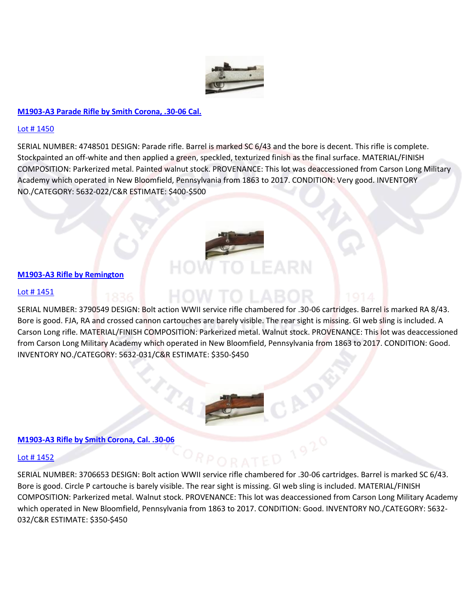

# **[M1903-A3 Parade Rifle by Smith Corona, .30-06 Cal.](https://www.proxibid.com/aspr/M1903-A3-Parade-Rifle-by-Smith-Corona-30-06-Cal/45324075/LotDetail.asp?lid=45324075)**

#### [Lot # 1450](https://www.proxibid.com/aspr/M1903-A3-Parade-Rifle-by-Smith-Corona-30-06-Cal/45324075/LotDetail.asp?lid=45324075)

SERIAL NUMBER: 4748501 DESIGN: Parade rifle. Barrel is marked SC 6/43 and the bore is decent. This rifle is complete. Stockpainted an off-white and then applied a green, speckled, texturized finish as the final surface. MATERIAL/FINISH COMPOSITION: Parkerized metal. Painted walnut stock. PROVENANCE: This lot was deaccessioned from Carson Long Military Academy which operated in New Bloomfield, Pennsylvania from 1863 to 2017. CONDITION: Very good. INVENTORY NO./CATEGORY: 5632-022/C&R ESTIMATE: \$400-\$50[0](https://www.proxibid.com/aspr/M1903-A3-Rifle-by-Remington/45324076/LotDetail.asp?lid=45324076)



#### **[M1903-A3 Rifle by Remington](https://www.proxibid.com/aspr/M1903-A3-Rifle-by-Remington/45324076/LotDetail.asp?lid=45324076)**

#### [Lot # 1451](https://www.proxibid.com/aspr/M1903-A3-Rifle-by-Remington/45324076/LotDetail.asp?lid=45324076)

SERIAL NUMBER: 3790549 DESIGN: Bolt action WWII service rifle chambered for .30-06 cartridges. Barrel is marked RA 8/43. Bore is good. FJA, RA and crossed cannon cartouches are barely visible. The rear sight is missing. GI web sling is included. A Carson Long rifle. MATERIAL/FINISH COMPOSITION: Parkerized metal. Walnut stock. PROVENANCE: This lot was deaccessioned from Carson Long Military Academy which operated in New Bloomfield, Pennsylvania from 1863 to 2017. CONDITION: Good. INVENTORY NO./CATEGORY: 5632-031/C&R ESTIMATE: \$350-\$45[0](https://www.proxibid.com/aspr/M1903-A3-Rifle-by-Smith-Corona-Cal-30-06/45324077/LotDetail.asp?lid=45324077)



#### **[M1903-A3 Rifle by Smith Corona, Cal. .30-06](https://www.proxibid.com/aspr/M1903-A3-Rifle-by-Smith-Corona-Cal-30-06/45324077/LotDetail.asp?lid=45324077)**

#### [Lot # 1452](https://www.proxibid.com/aspr/M1903-A3-Rifle-by-Smith-Corona-Cal-30-06/45324077/LotDetail.asp?lid=45324077)

SERIAL NUMBER: 3706653 DESIGN: Bolt action WWII service rifle chambered for .30-06 cartridges. Barrel is marked SC 6/43. Bore is good. Circle P cartouche is barely visible. The rear sight is missing. GI web sling is included. MATERIAL/FINISH COMPOSITION: Parkerized metal. Walnut stock. PROVENANCE: This lot was deaccessioned from Carson Long Military Academy which operated in New Bloomfield, Pennsylvania from 1863 to 2017. CONDITION: Good. INVENTORY NO./CATEGORY: 5632- 032/C&R ESTIMATE: \$350-\$45[0](https://www.proxibid.com/aspr/M1903-A3-Rifle-by-Remington-Cal-30-06/45324078/LotDetail.asp?lid=45324078)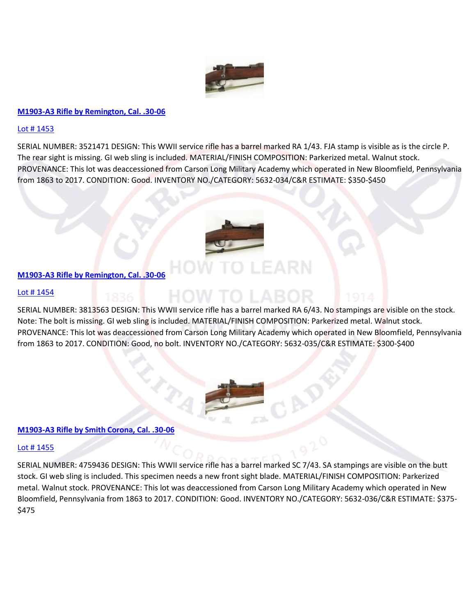

# **[M1903-A3 Rifle by Remington, Cal. .30-06](https://www.proxibid.com/aspr/M1903-A3-Rifle-by-Remington-Cal-30-06/45324078/LotDetail.asp?lid=45324078)**

### [Lot # 1453](https://www.proxibid.com/aspr/M1903-A3-Rifle-by-Remington-Cal-30-06/45324078/LotDetail.asp?lid=45324078)

SERIAL NUMBER: 3521471 DESIGN: This WWII service rifle has a barrel marked RA 1/43. FJA stamp is visible as is the circle P. The rear sight is missing. GI web sling is included. MATERIAL/FINISH COMPOSITION: Parkerized metal. Walnut stock. PROVENANCE: This lot was deaccessioned from Carson Long Military Academy which operated in New Bloomfield, Pennsylvania from 1863 to 2017. CONDITION: Good. INVENTORY NO./CATEGORY: 5632-034/C&R ESTIMATE: \$350-\$45[0](https://www.proxibid.com/aspr/M1903-A3-Rifle-by-Remington-Cal-30-06/45324079/LotDetail.asp?lid=45324079)



# **[M1903-A3 Rifle by Remington, Cal. .30-06](https://www.proxibid.com/aspr/M1903-A3-Rifle-by-Remington-Cal-30-06/45324079/LotDetail.asp?lid=45324079)**

#### [Lot # 1454](https://www.proxibid.com/aspr/M1903-A3-Rifle-by-Remington-Cal-30-06/45324079/LotDetail.asp?lid=45324079)

SERIAL NUMBER: 3813563 DESIGN: This WWII service rifle has a barrel marked RA 6/43. No stampings are visible on the stock. Note: The bolt is missing. GI web sling is included. MATERIAL/FINISH COMPOSITION: Parkerized metal. Walnut stock. PROVENANCE: This lot was deaccessioned from Carson Long Military Academy which operated in New Bloomfield, Pennsylvania from 1863 to 2017. CONDITION: Good, no bolt. INVENTORY NO./CATEGORY: 5632-035/C&R ESTIMATE: \$300-\$40[0](https://www.proxibid.com/aspr/M1903-A3-Rifle-by-Smith-Corona-Cal-30-06/45324080/LotDetail.asp?lid=45324080)



### **[M1903-A3 Rifle by Smith Corona, Cal. .30-06](https://www.proxibid.com/aspr/M1903-A3-Rifle-by-Smith-Corona-Cal-30-06/45324080/LotDetail.asp?lid=45324080)**

# [Lot # 1455](https://www.proxibid.com/aspr/M1903-A3-Rifle-by-Smith-Corona-Cal-30-06/45324080/LotDetail.asp?lid=45324080)

SERIAL NUMBER: 4759436 DESIGN: This WWII service rifle has a barrel marked SC 7/43. SA stampings are visible on the butt stock. GI web sling is included. This specimen needs a new front sight blade. MATERIAL/FINISH COMPOSITION: Parkerized metal. Walnut stock. PROVENANCE: This lot was deaccessioned from Carson Long Military Academy which operated in New Bloomfield, Pennsylvania from 1863 to 2017. CONDITION: Good. INVENTORY NO./CATEGORY: 5632-036/C&R ESTIMATE: \$375- \$47[5](https://www.proxibid.com/aspr/M1903-A3-Rifle-by-Remington-Cal-30-06/45324081/LotDetail.asp?lid=45324081)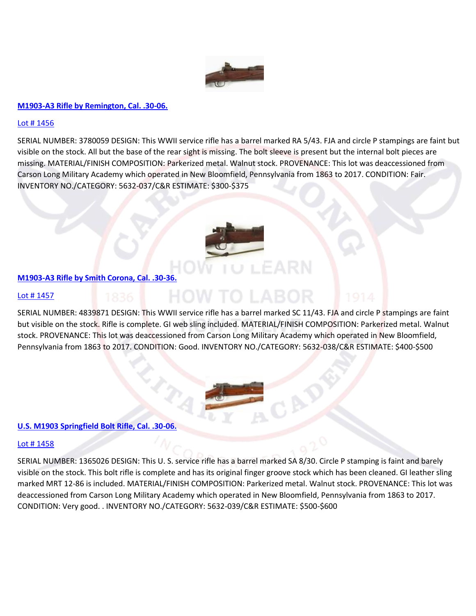

# **[M1903-A3 Rifle by Remington, Cal. .30-06.](https://www.proxibid.com/aspr/M1903-A3-Rifle-by-Remington-Cal-30-06/45324081/LotDetail.asp?lid=45324081)**

### [Lot # 1456](https://www.proxibid.com/aspr/M1903-A3-Rifle-by-Remington-Cal-30-06/45324081/LotDetail.asp?lid=45324081)

SERIAL NUMBER: 3780059 DESIGN: This WWII service rifle has a barrel marked RA 5/43. FJA and circle P stampings are faint but visible on the stock. All but the base of the rear sight is missing. The bolt sleeve is present but the internal bolt pieces are missing. MATERIAL/FINISH COMPOSITION: Parkerized metal. Walnut stock. PROVENANCE: This lot was deaccessioned from Carson Long Military Academy which operated in New Bloomfield, Pennsylvania from 1863 to 2017. CONDITION: Fair. INVENTORY NO./CATEGORY: 5632-037/C&R ESTIMATE: \$300-\$37[5](https://www.proxibid.com/aspr/M1903-A3-Rifle-by-Smith-Corona-Cal-30-36/45324082/LotDetail.asp?lid=45324082)



# **[M1903-A3 Rifle by Smith Corona, Cal. .30-36.](https://www.proxibid.com/aspr/M1903-A3-Rifle-by-Smith-Corona-Cal-30-36/45324082/LotDetail.asp?lid=45324082)**

#### HOW TO LABOR [Lot # 1457](https://www.proxibid.com/aspr/M1903-A3-Rifle-by-Smith-Corona-Cal-30-36/45324082/LotDetail.asp?lid=45324082)

SERIAL NUMBER: 4839871 DESIGN: This WWII service rifle has a barrel marked SC 11/43. FJA and circle P stampings are faint but visible on the stock. Rifle is complete. GI web sling included. MATERIAL/FINISH COMPOSITION: Parkerized metal. Walnut stock. PROVENANCE: This lot was deaccessioned from Carson Long Military Academy which operated in New Bloomfield, Pennsylvania from 1863 to 2017. CONDITION: Good. INVENTORY NO./CATEGORY: 5632-038/C&R ESTIMATE: \$400-\$50[0](https://www.proxibid.com/aspr/U-S-M1903-Springfield-Bolt-Rifle-Cal-30-06/45324083/LotDetail.asp?lid=45324083)

# **[U.S. M1903 Springfield Bolt Rifle, Cal. .30-06.](https://www.proxibid.com/aspr/U-S-M1903-Springfield-Bolt-Rifle-Cal-30-06/45324083/LotDetail.asp?lid=45324083)**

#### [Lot # 1458](https://www.proxibid.com/aspr/U-S-M1903-Springfield-Bolt-Rifle-Cal-30-06/45324083/LotDetail.asp?lid=45324083)

SERIAL NUMBER: 1365026 DESIGN: This U. S. service rifle has a barrel marked SA 8/30. Circle P stamping is faint and barely visible on the stock. This bolt rifle is complete and has its original finger groove stock which has been cleaned. GI leather sling marked MRT 12-86 is included. MATERIAL/FINISH COMPOSITION: Parkerized metal. Walnut stock. PROVENANCE: This lot was deaccessioned from Carson Long Military Academy which operated in New Bloomfield, Pennsylvania from 1863 to 2017. CONDITION: Very good. . INVENTORY NO./CATEGORY: 5632-039/C&R ESTIMATE: \$500-\$60[0](https://www.proxibid.com/aspr/U-S-Rifle-Cal-30-M1-Garand-Springfield/45324084/LotDetail.asp?lid=45324084)